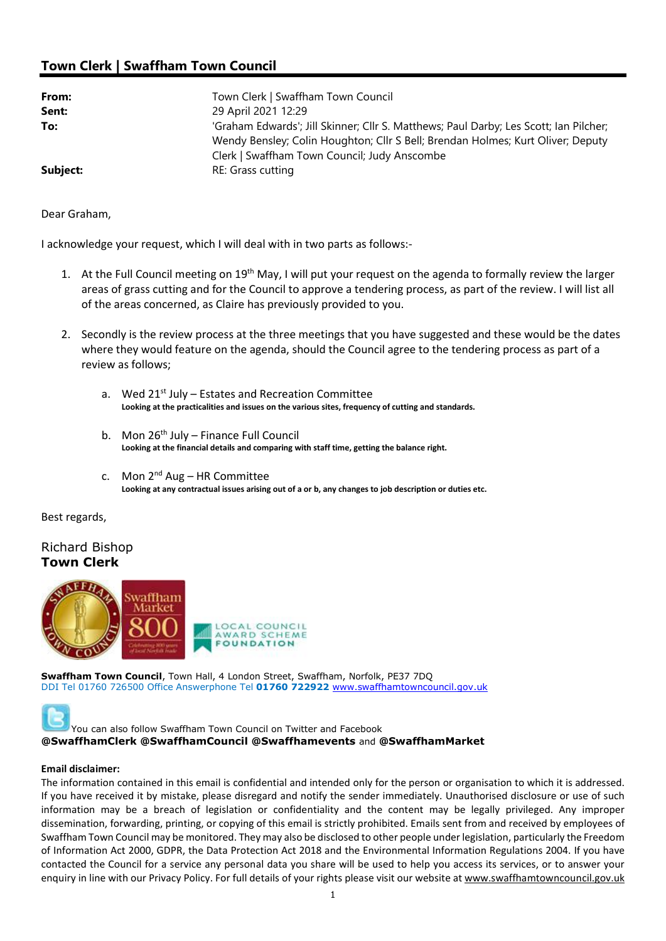## Town Clerk | Swaffham Town Council

| From:    | Town Clerk   Swaffham Town Council                                                                                                                                                                                       |
|----------|--------------------------------------------------------------------------------------------------------------------------------------------------------------------------------------------------------------------------|
| Sent:    | 29 April 2021 12:29                                                                                                                                                                                                      |
| To:      | 'Graham Edwards'; Jill Skinner; Cllr S. Matthews; Paul Darby; Les Scott; Ian Pilcher;<br>Wendy Bensley; Colin Houghton; Cllr S Bell; Brendan Holmes; Kurt Oliver; Deputy<br>Clerk   Swaffham Town Council; Judy Anscombe |
| Subject: | RE: Grass cutting                                                                                                                                                                                                        |

Dear Graham,

I acknowledge your request, which I will deal with in two parts as follows:-

- 1. At the Full Council meeting on 19<sup>th</sup> May, I will put your request on the agenda to formally review the larger areas of grass cutting and for the Council to approve a tendering process, as part of the review. I will list all of the areas concerned, as Claire has previously provided to you.
- 2. Secondly is the review process at the three meetings that you have suggested and these would be the dates where they would feature on the agenda, should the Council agree to the tendering process as part of a review as follows;
	- a. Wed 21<sup>st</sup> July Estates and Recreation Committee Looking at the practicalities and issues on the various sites, frequency of cutting and standards.
	- b. Mon  $26<sup>th</sup>$  July Finance Full Council Looking at the financial details and comparing with staff time, getting the balance right.
	- c. Mon  $2^{nd}$  Aug HR Committee Looking at any contractual issues arising out of a or b, any changes to job description or duties etc.

Best regards,

## Richard Bishop Town Clerk



Swaffham Town Council, Town Hall, 4 London Street, Swaffham, Norfolk, PE37 7DQ DDI Tel 01760 726500 Office Answerphone Tel 01760 722922 www.swaffhamtowncouncil.gov.uk

You can also follow Swaffham Town Council on Twitter and Facebook @SwaffhamClerk @SwaffhamCouncil @Swaffhamevents and @SwaffhamMarket

## Email disclaimer:

The information contained in this email is confidential and intended only for the person or organisation to which it is addressed. If you have received it by mistake, please disregard and notify the sender immediately. Unauthorised disclosure or use of such information may be a breach of legislation or confidentiality and the content may be legally privileged. Any improper dissemination, forwarding, printing, or copying of this email is strictly prohibited. Emails sent from and received by employees of Swaffham Town Council may be monitored. They may also be disclosed to other people under legislation, particularly the Freedom of Information Act 2000, GDPR, the Data Protection Act 2018 and the Environmental Information Regulations 2004. If you have contacted the Council for a service any personal data you share will be used to help you access its services, or to answer your enquiry in line with our Privacy Policy. For full details of your rights please visit our website at www.swaffhamtowncouncil.gov.uk